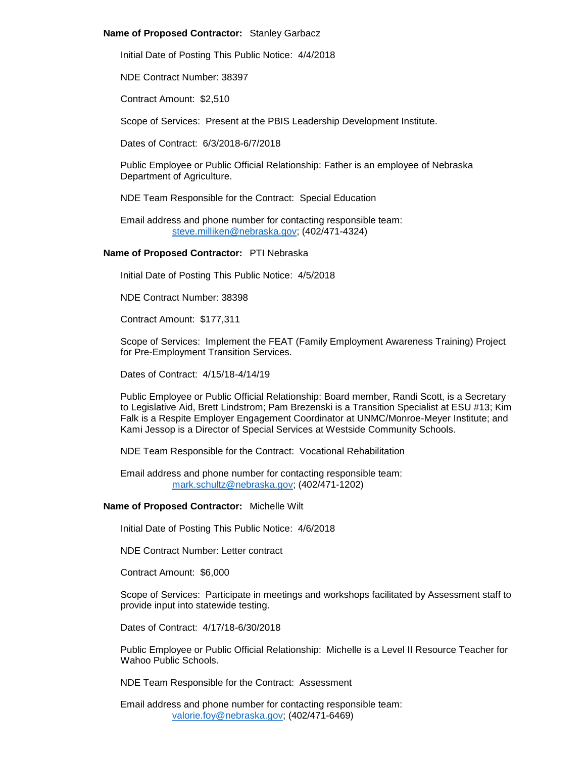# **Name of Proposed Contractor:** Stanley Garbacz

Initial Date of Posting This Public Notice: 4/4/2018

NDE Contract Number: 38397

Contract Amount: \$2,510

Scope of Services: Present at the PBIS Leadership Development Institute.

Dates of Contract: 6/3/2018-6/7/2018

Public Employee or Public Official Relationship: Father is an employee of Nebraska Department of Agriculture.

NDE Team Responsible for the Contract: Special Education

Email address and phone number for contacting responsible team: [steve.milliken@nebraska.gov;](mailto:steve.milliken@nebraska.gov) (402/471-4324)

# **Name of Proposed Contractor:** PTI Nebraska

Initial Date of Posting This Public Notice: 4/5/2018

NDE Contract Number: 38398

Contract Amount: \$177,311

Scope of Services: Implement the FEAT (Family Employment Awareness Training) Project for Pre-Employment Transition Services.

Dates of Contract: 4/15/18-4/14/19

Public Employee or Public Official Relationship: Board member, Randi Scott, is a Secretary to Legislative Aid, Brett Lindstrom; Pam Brezenski is a Transition Specialist at ESU #13; Kim Falk is a Respite Employer Engagement Coordinator at UNMC/Monroe-Meyer Institute; and Kami Jessop is a Director of Special Services at Westside Community Schools.

NDE Team Responsible for the Contract: Vocational Rehabilitation

Email address and phone number for contacting responsible team: [mark.schultz@nebraska.gov;](mailto:mark.schultz@nebraska.gov) (402/471-1202)

## **Name of Proposed Contractor:** Michelle Wilt

Initial Date of Posting This Public Notice: 4/6/2018

NDE Contract Number: Letter contract

Contract Amount: \$6,000

Scope of Services: Participate in meetings and workshops facilitated by Assessment staff to provide input into statewide testing.

Dates of Contract: 4/17/18-6/30/2018

Public Employee or Public Official Relationship: Michelle is a Level II Resource Teacher for Wahoo Public Schools.

NDE Team Responsible for the Contract: Assessment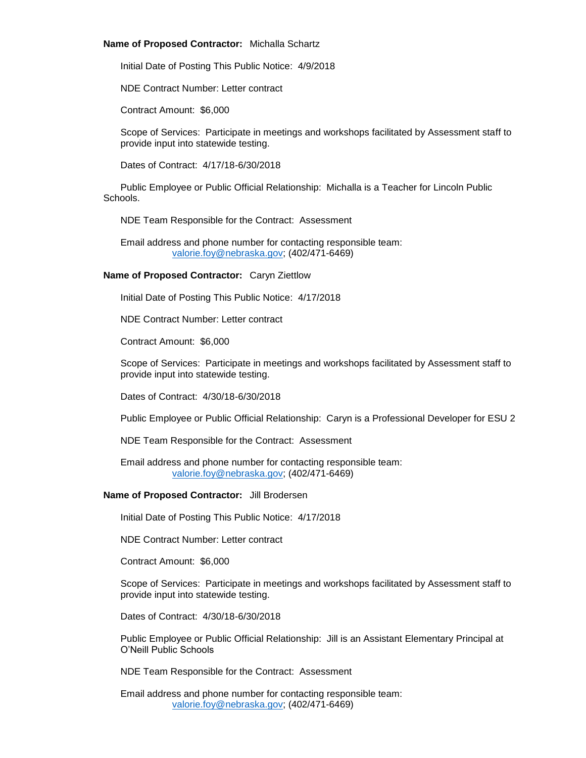# **Name of Proposed Contractor:** Michalla Schartz

Initial Date of Posting This Public Notice: 4/9/2018

NDE Contract Number: Letter contract

Contract Amount: \$6,000

Scope of Services: Participate in meetings and workshops facilitated by Assessment staff to provide input into statewide testing.

Dates of Contract: 4/17/18-6/30/2018

Public Employee or Public Official Relationship: Michalla is a Teacher for Lincoln Public Schools.

NDE Team Responsible for the Contract: Assessment

Email address and phone number for contacting responsible team: [valorie.foy@nebraska.gov;](mailto:valorie.foy@nebraska.gov) (402/471-6469)

# **Name of Proposed Contractor:** Caryn Ziettlow

Initial Date of Posting This Public Notice: 4/17/2018

NDE Contract Number: Letter contract

Contract Amount: \$6,000

Scope of Services: Participate in meetings and workshops facilitated by Assessment staff to provide input into statewide testing.

Dates of Contract: 4/30/18-6/30/2018

Public Employee or Public Official Relationship: Caryn is a Professional Developer for ESU 2

NDE Team Responsible for the Contract: Assessment

Email address and phone number for contacting responsible team: [valorie.foy@nebraska.gov;](mailto:valorie.foy@nebraska.gov) (402/471-6469)

## **Name of Proposed Contractor:** Jill Brodersen

Initial Date of Posting This Public Notice: 4/17/2018

NDE Contract Number: Letter contract

Contract Amount: \$6,000

Scope of Services: Participate in meetings and workshops facilitated by Assessment staff to provide input into statewide testing.

Dates of Contract: 4/30/18-6/30/2018

Public Employee or Public Official Relationship: Jill is an Assistant Elementary Principal at O'Neill Public Schools

NDE Team Responsible for the Contract: Assessment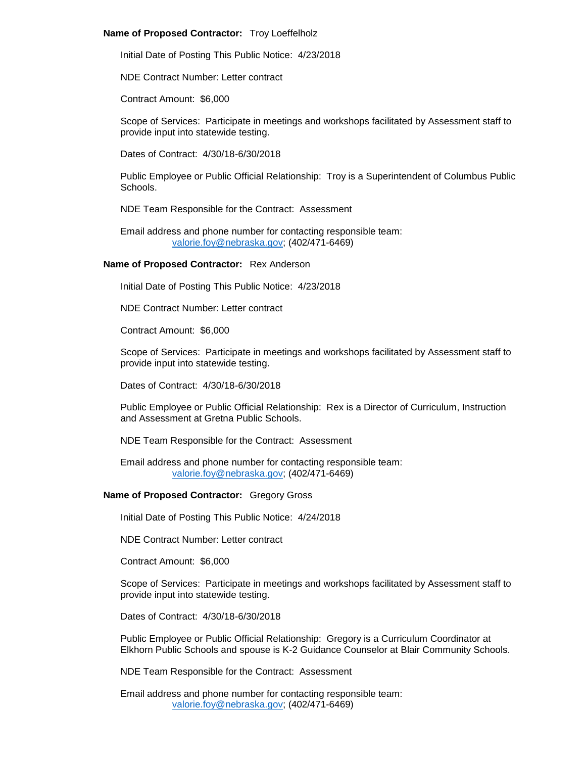# **Name of Proposed Contractor:** Troy Loeffelholz

Initial Date of Posting This Public Notice: 4/23/2018

NDE Contract Number: Letter contract

Contract Amount: \$6,000

Scope of Services: Participate in meetings and workshops facilitated by Assessment staff to provide input into statewide testing.

Dates of Contract: 4/30/18-6/30/2018

Public Employee or Public Official Relationship: Troy is a Superintendent of Columbus Public Schools.

NDE Team Responsible for the Contract: Assessment

Email address and phone number for contacting responsible team: [valorie.foy@nebraska.gov;](mailto:valorie.foy@nebraska.gov) (402/471-6469)

# **Name of Proposed Contractor:** Rex Anderson

Initial Date of Posting This Public Notice: 4/23/2018

NDE Contract Number: Letter contract

Contract Amount: \$6,000

Scope of Services: Participate in meetings and workshops facilitated by Assessment staff to provide input into statewide testing.

Dates of Contract: 4/30/18-6/30/2018

Public Employee or Public Official Relationship: Rex is a Director of Curriculum, Instruction and Assessment at Gretna Public Schools.

NDE Team Responsible for the Contract: Assessment

Email address and phone number for contacting responsible team: [valorie.foy@nebraska.gov;](mailto:valorie.foy@nebraska.gov) (402/471-6469)

## **Name of Proposed Contractor:** Gregory Gross

Initial Date of Posting This Public Notice: 4/24/2018

NDE Contract Number: Letter contract

Contract Amount: \$6,000

Scope of Services: Participate in meetings and workshops facilitated by Assessment staff to provide input into statewide testing.

Dates of Contract: 4/30/18-6/30/2018

Public Employee or Public Official Relationship: Gregory is a Curriculum Coordinator at Elkhorn Public Schools and spouse is K-2 Guidance Counselor at Blair Community Schools.

NDE Team Responsible for the Contract: Assessment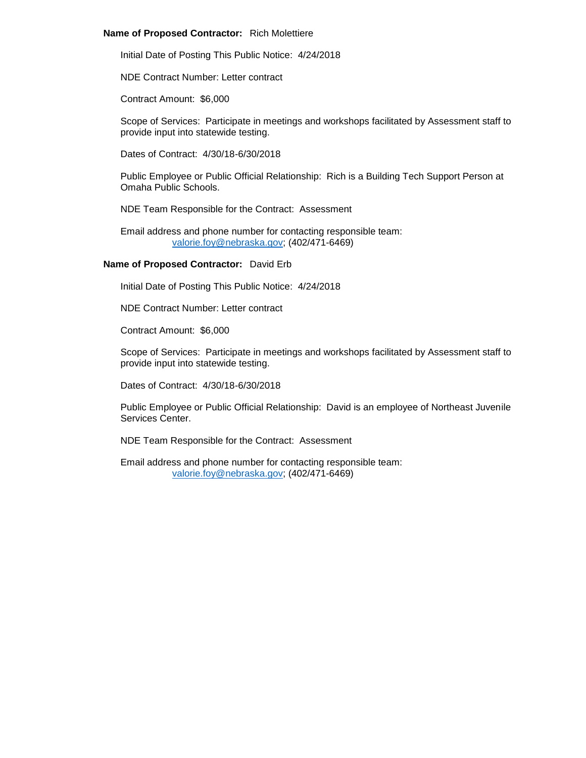# **Name of Proposed Contractor:** Rich Molettiere

Initial Date of Posting This Public Notice: 4/24/2018

NDE Contract Number: Letter contract

Contract Amount: \$6,000

Scope of Services: Participate in meetings and workshops facilitated by Assessment staff to provide input into statewide testing.

Dates of Contract: 4/30/18-6/30/2018

Public Employee or Public Official Relationship: Rich is a Building Tech Support Person at Omaha Public Schools.

NDE Team Responsible for the Contract: Assessment

Email address and phone number for contacting responsible team: [valorie.foy@nebraska.gov;](mailto:valorie.foy@nebraska.gov) (402/471-6469)

# **Name of Proposed Contractor:** David Erb

Initial Date of Posting This Public Notice: 4/24/2018

NDE Contract Number: Letter contract

Contract Amount: \$6,000

Scope of Services: Participate in meetings and workshops facilitated by Assessment staff to provide input into statewide testing.

Dates of Contract: 4/30/18-6/30/2018

Public Employee or Public Official Relationship: David is an employee of Northeast Juvenile Services Center.

NDE Team Responsible for the Contract: Assessment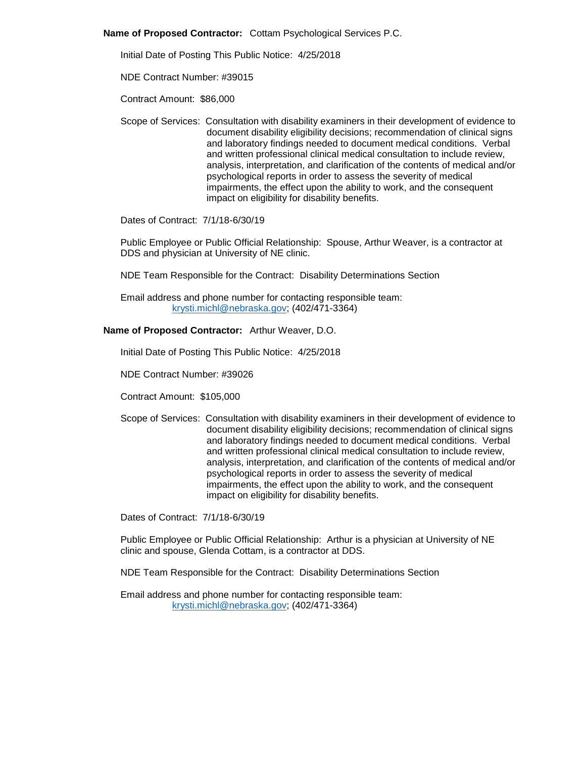**Name of Proposed Contractor:** Cottam Psychological Services P.C.

Initial Date of Posting This Public Notice: 4/25/2018

NDE Contract Number: #39015

Contract Amount: \$86,000

Scope of Services: Consultation with disability examiners in their development of evidence to document disability eligibility decisions; recommendation of clinical signs and laboratory findings needed to document medical conditions. Verbal and written professional clinical medical consultation to include review, analysis, interpretation, and clarification of the contents of medical and/or psychological reports in order to assess the severity of medical impairments, the effect upon the ability to work, and the consequent impact on eligibility for disability benefits.

Dates of Contract: 7/1/18-6/30/19

Public Employee or Public Official Relationship: Spouse, Arthur Weaver, is a contractor at DDS and physician at University of NE clinic.

NDE Team Responsible for the Contract: Disability Determinations Section

Email address and phone number for contacting responsible team: [krysti.michl@nebraska.gov;](mailto:krysti.michl@nebraska.gov) (402/471-3364)

# **Name of Proposed Contractor:** Arthur Weaver, D.O.

Initial Date of Posting This Public Notice: 4/25/2018

NDE Contract Number: #39026

Contract Amount: \$105,000

Scope of Services: Consultation with disability examiners in their development of evidence to document disability eligibility decisions; recommendation of clinical signs and laboratory findings needed to document medical conditions. Verbal and written professional clinical medical consultation to include review, analysis, interpretation, and clarification of the contents of medical and/or psychological reports in order to assess the severity of medical impairments, the effect upon the ability to work, and the consequent impact on eligibility for disability benefits.

Dates of Contract: 7/1/18-6/30/19

Public Employee or Public Official Relationship: Arthur is a physician at University of NE clinic and spouse, Glenda Cottam, is a contractor at DDS.

NDE Team Responsible for the Contract: Disability Determinations Section

Email address and phone number for contacting responsible team: [krysti.michl@nebraska.gov;](mailto:krysti.michl@nebraska.gov) (402/471-3364)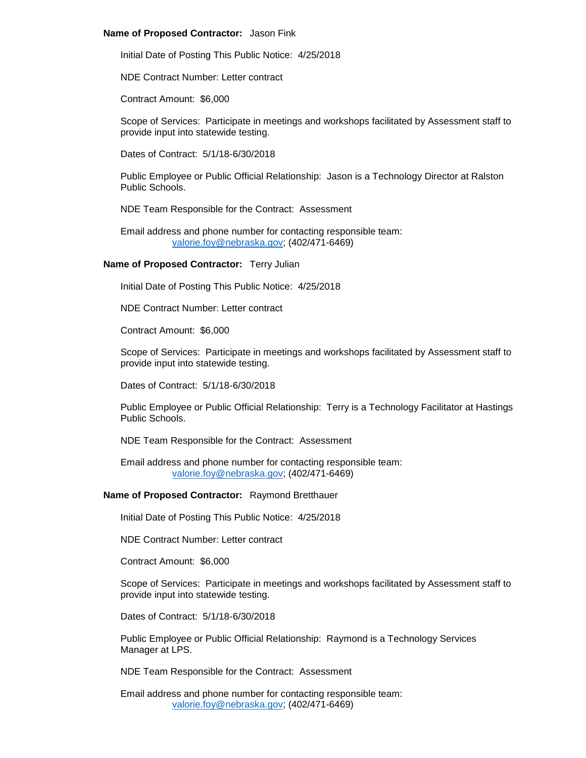#### **Name of Proposed Contractor:** Jason Fink

Initial Date of Posting This Public Notice: 4/25/2018

NDE Contract Number: Letter contract

Contract Amount: \$6,000

Scope of Services: Participate in meetings and workshops facilitated by Assessment staff to provide input into statewide testing.

Dates of Contract: 5/1/18-6/30/2018

Public Employee or Public Official Relationship: Jason is a Technology Director at Ralston Public Schools.

NDE Team Responsible for the Contract: Assessment

Email address and phone number for contacting responsible team: [valorie.foy@nebraska.gov;](mailto:valorie.foy@nebraska.gov) (402/471-6469)

#### **Name of Proposed Contractor:** Terry Julian

Initial Date of Posting This Public Notice: 4/25/2018

NDE Contract Number: Letter contract

Contract Amount: \$6,000

Scope of Services: Participate in meetings and workshops facilitated by Assessment staff to provide input into statewide testing.

Dates of Contract: 5/1/18-6/30/2018

Public Employee or Public Official Relationship: Terry is a Technology Facilitator at Hastings Public Schools.

NDE Team Responsible for the Contract: Assessment

Email address and phone number for contacting responsible team: [valorie.foy@nebraska.gov;](mailto:valorie.foy@nebraska.gov) (402/471-6469)

#### **Name of Proposed Contractor:** Raymond Bretthauer

Initial Date of Posting This Public Notice: 4/25/2018

NDE Contract Number: Letter contract

Contract Amount: \$6,000

Scope of Services: Participate in meetings and workshops facilitated by Assessment staff to provide input into statewide testing.

Dates of Contract: 5/1/18-6/30/2018

Public Employee or Public Official Relationship: Raymond is a Technology Services Manager at LPS.

NDE Team Responsible for the Contract: Assessment